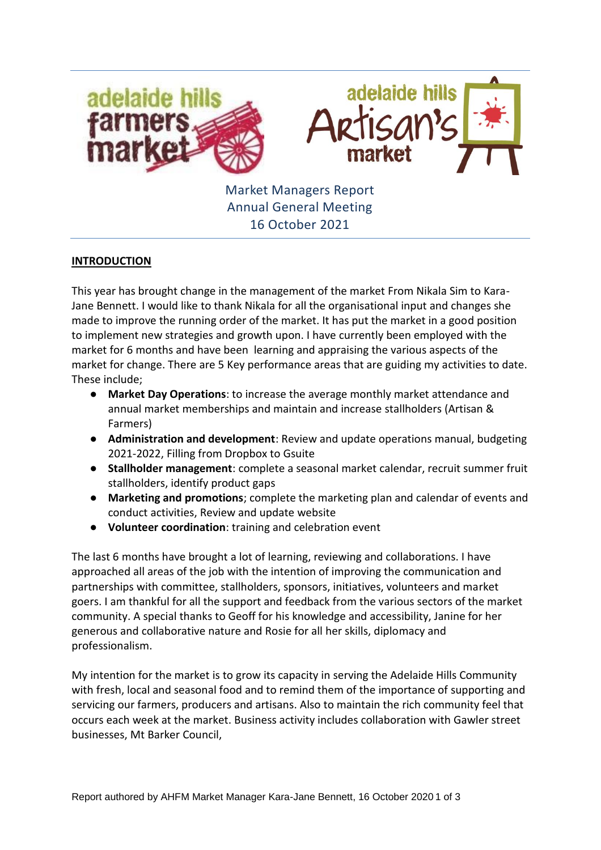

Market Managers Report Annual General Meeting 16 October 2021

## **INTRODUCTION**

This year has brought change in the management of the market From Nikala Sim to Kara-Jane Bennett. I would like to thank Nikala for all the organisational input and changes she made to improve the running order of the market. It has put the market in a good position to implement new strategies and growth upon. I have currently been employed with the market for 6 months and have been learning and appraising the various aspects of the market for change. There are 5 Key performance areas that are guiding my activities to date. These include;

- **Market Day Operations**: to increase the average monthly market attendance and annual market memberships and maintain and increase stallholders (Artisan & Farmers)
- **Administration and development**: Review and update operations manual, budgeting 2021-2022, Filling from Dropbox to Gsuite
- **Stallholder management**: complete a seasonal market calendar, recruit summer fruit stallholders, identify product gaps
- **Marketing and promotions**; complete the marketing plan and calendar of events and conduct activities, Review and update website
- **Volunteer coordination**: training and celebration event

The last 6 months have brought a lot of learning, reviewing and collaborations. I have approached all areas of the job with the intention of improving the communication and partnerships with committee, stallholders, sponsors, initiatives, volunteers and market goers. I am thankful for all the support and feedback from the various sectors of the market community. A special thanks to Geoff for his knowledge and accessibility, Janine for her generous and collaborative nature and Rosie for all her skills, diplomacy and professionalism.

My intention for the market is to grow its capacity in serving the Adelaide Hills Community with fresh, local and seasonal food and to remind them of the importance of supporting and servicing our farmers, producers and artisans. Also to maintain the rich community feel that occurs each week at the market. Business activity includes collaboration with Gawler street businesses, Mt Barker Council,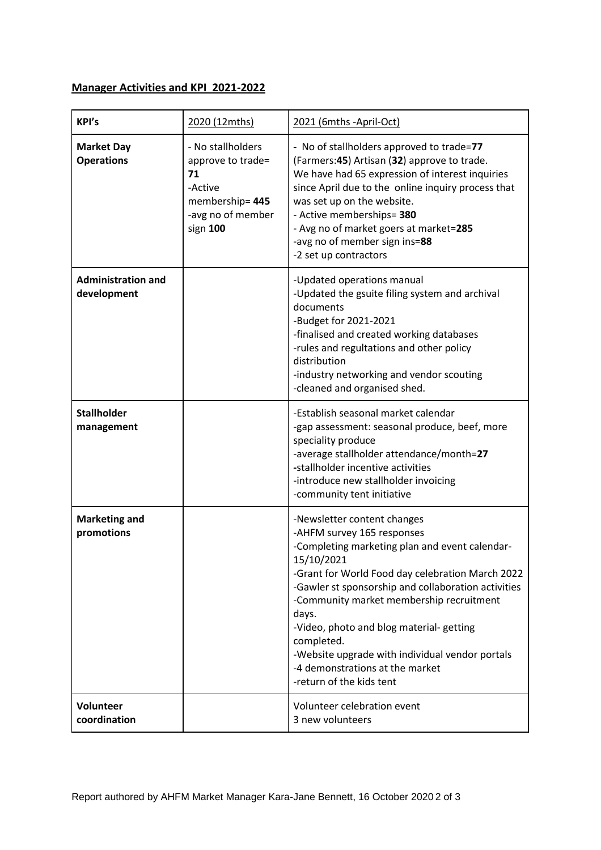## **Manager Activities and KPI 2021-2022**

| KPI's                                    | 2020 (12mths)                                                                                              | 2021 (6mths -April-Oct)                                                                                                                                                                                                                                                                                                                                                                                                                                              |
|------------------------------------------|------------------------------------------------------------------------------------------------------------|----------------------------------------------------------------------------------------------------------------------------------------------------------------------------------------------------------------------------------------------------------------------------------------------------------------------------------------------------------------------------------------------------------------------------------------------------------------------|
| <b>Market Day</b><br><b>Operations</b>   | - No stallholders<br>approve to trade=<br>71<br>-Active<br>membership=445<br>-avg no of member<br>sign 100 | - No of stallholders approved to trade=77<br>(Farmers: 45) Artisan (32) approve to trade.<br>We have had 65 expression of interest inquiries<br>since April due to the online inquiry process that<br>was set up on the website.<br>- Active memberships= 380<br>- Avg no of market goers at market=285<br>-avg no of member sign ins=88<br>-2 set up contractors                                                                                                    |
| <b>Administration and</b><br>development |                                                                                                            | -Updated operations manual<br>-Updated the gsuite filing system and archival<br>documents<br>-Budget for 2021-2021<br>-finalised and created working databases<br>-rules and regultations and other policy<br>distribution<br>-industry networking and vendor scouting<br>-cleaned and organised shed.                                                                                                                                                               |
| <b>Stallholder</b><br>management         |                                                                                                            | -Establish seasonal market calendar<br>-gap assessment: seasonal produce, beef, more<br>speciality produce<br>-average stallholder attendance/month=27<br>-stallholder incentive activities<br>-introduce new stallholder invoicing<br>-community tent initiative                                                                                                                                                                                                    |
| <b>Marketing and</b><br>promotions       |                                                                                                            | -Newsletter content changes<br>-AHFM survey 165 responses<br>-Completing marketing plan and event calendar-<br>15/10/2021<br>-Grant for World Food day celebration March 2022<br>-Gawler st sponsorship and collaboration activities<br>-Community market membership recruitment<br>days.<br>-Video, photo and blog material-getting<br>completed.<br>-Website upgrade with individual vendor portals<br>-4 demonstrations at the market<br>-return of the kids tent |
| Volunteer<br>coordination                |                                                                                                            | Volunteer celebration event<br>3 new volunteers                                                                                                                                                                                                                                                                                                                                                                                                                      |